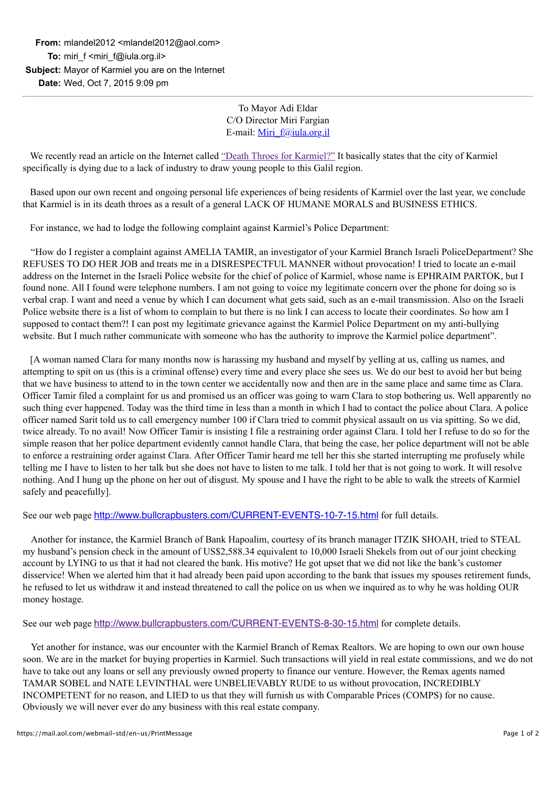To Mayor Adi Eldar C/O Director Miri Fargian E-mail: [Miri\\_f@iula.org.il](mailto:Miri_f@iula.org.il)

 We recently read an article on the Internet called ["Death Throes for Karmiel?"](http://perfectlywriteingodsvineyard.blogspot.co.il/2011/01/death-throes-for-karmiel.html) It basically states that the city of Karmiel specifically is dying due to a lack of industry to draw young people to this Galil region.

 Based upon our own recent and ongoing personal life experiences of being residents of Karmiel over the last year, we conclude that Karmiel is in its death throes as a result of a general LACK OF HUMANE MORALS and BUSINESS ETHICS.

For instance, we had to lodge the following complaint against Karmiel's Police Department:

 "How do I register a complaint against AMELIA TAMIR, an investigator of your Karmiel Branch Israeli PoliceDepartment? She REFUSES TO DO HER JOB and treats me in a DISRESPECTFUL MANNER without provocation! I tried to locate an e-mail address on the Internet in the Israeli Police website for the chief of police of Karmiel, whose name is EPHRAIM PARTOK, but I found none. All I found were telephone numbers. I am not going to voice my legitimate concern over the phone for doing so is verbal crap. I want and need a venue by which I can document what gets said, such as an e-mail transmission. Also on the Israeli Police website there is a list of whom to complain to but there is no link I can access to locate their coordinates. So how am I supposed to contact them?! I can post my legitimate grievance against the Karmiel Police Department on my anti-bullying website. But I much rather communicate with someone who has the authority to improve the Karmiel police department".

 [A woman named Clara for many months now is harassing my husband and myself by yelling at us, calling us names, and attempting to spit on us (this is a criminal offense) every time and every place she sees us. We do our best to avoid her but being that we have business to attend to in the town center we accidentally now and then are in the same place and same time as Clara. Officer Tamir filed a complaint for us and promised us an officer was going to warn Clara to stop bothering us. Well apparently no such thing ever happened. Today was the third time in less than a month in which I had to contact the police about Clara. A police officer named Sarit told us to call emergency number 100 if Clara tried to commit physical assault on us via spitting. So we did, twice already. To no avail! Now Officer Tamir is insisting I file a restraining order against Clara. I told her I refuse to do so for the simple reason that her police department evidently cannot handle Clara, that being the case, her police department will not be able to enforce a restraining order against Clara. After Officer Tamir heard me tell her this she started interrupting me profusely while telling me I have to listen to her talk but she does not have to listen to me talk. I told her that is not going to work. It will resolve nothing. And I hung up the phone on her out of disgust. My spouse and I have the right to be able to walk the streets of Karmiel safely and peacefully].

See our web page <http://www.bullcrapbusters.com/CURRENT-EVENTS-10-7-15.html> for full details.

 Another for instance, the Karmiel Branch of Bank Hapoalim, courtesy of its branch manager ITZIK SHOAH, tried to STEAL my husband's pension check in the amount of US\$2,588.34 equivalent to 10,000 Israeli Shekels from out of our joint checking account by LYING to us that it had not cleared the bank. His motive? He got upset that we did not like the bank's customer disservice! When we alerted him that it had already been paid upon according to the bank that issues my spouses retirement funds, he refused to let us withdraw it and instead threatened to call the police on us when we inquired as to why he was holding OUR money hostage.

See our web page <http://www.bullcrapbusters.com/CURRENT-EVENTS-8-30-15.html> for complete details.

 Yet another for instance, was our encounter with the Karmiel Branch of Remax Realtors. We are hoping to own our own house soon. We are in the market for buying properties in Karmiel. Such transactions will yield in real estate commissions, and we do not have to take out any loans or sell any previously owned property to finance our venture. However, the Remax agents named TAMAR SOBEL and NATE LEVINTHAL were UNBELIEVABLY RUDE to us without provocation, INCREDIBLY INCOMPETENT for no reason, and LIED to us that they will furnish us with Comparable Prices (COMPS) for no cause. Obviously we will never ever do any business with this real estate company.